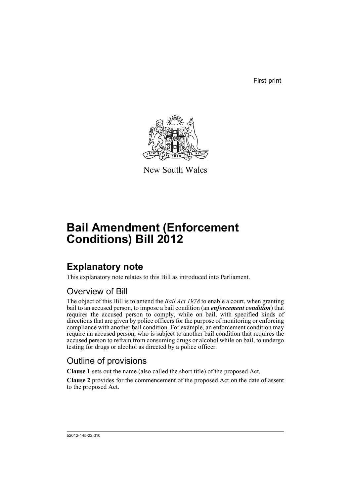First print



New South Wales

# **Bail Amendment (Enforcement Conditions) Bill 2012**

## **Explanatory note**

This explanatory note relates to this Bill as introduced into Parliament.

### Overview of Bill

The object of this Bill is to amend the *Bail Act 1978* to enable a court, when granting bail to an accused person, to impose a bail condition (an *enforcement condition*) that requires the accused person to comply, while on bail, with specified kinds of directions that are given by police officers for the purpose of monitoring or enforcing compliance with another bail condition. For example, an enforcement condition may require an accused person, who is subject to another bail condition that requires the accused person to refrain from consuming drugs or alcohol while on bail, to undergo testing for drugs or alcohol as directed by a police officer.

### Outline of provisions

**Clause 1** sets out the name (also called the short title) of the proposed Act.

**Clause 2** provides for the commencement of the proposed Act on the date of assent to the proposed Act.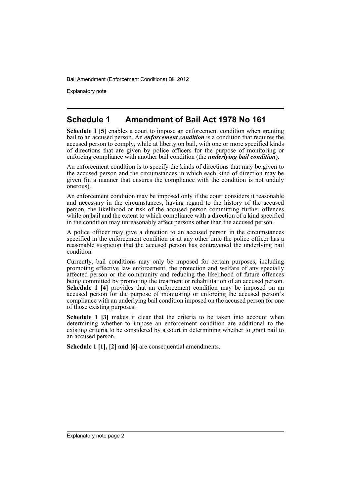Explanatory note

#### **Schedule 1 Amendment of Bail Act 1978 No 161**

**Schedule 1 [5]** enables a court to impose an enforcement condition when granting bail to an accused person. An *enforcement condition* is a condition that requires the accused person to comply, while at liberty on bail, with one or more specified kinds of directions that are given by police officers for the purpose of monitoring or enforcing compliance with another bail condition (the *underlying bail condition*).

An enforcement condition is to specify the kinds of directions that may be given to the accused person and the circumstances in which each kind of direction may be given (in a manner that ensures the compliance with the condition is not unduly onerous).

An enforcement condition may be imposed only if the court considers it reasonable and necessary in the circumstances, having regard to the history of the accused person, the likelihood or risk of the accused person committing further offences while on bail and the extent to which compliance with a direction of a kind specified in the condition may unreasonably affect persons other than the accused person.

A police officer may give a direction to an accused person in the circumstances specified in the enforcement condition or at any other time the police officer has a reasonable suspicion that the accused person has contravened the underlying bail condition.

Currently, bail conditions may only be imposed for certain purposes, including promoting effective law enforcement, the protection and welfare of any specially affected person or the community and reducing the likelihood of future offences being committed by promoting the treatment or rehabilitation of an accused person. **Schedule 1 [4]** provides that an enforcement condition may be imposed on an accused person for the purpose of monitoring or enforcing the accused person's compliance with an underlying bail condition imposed on the accused person for one of those existing purposes.

**Schedule 1 [3]** makes it clear that the criteria to be taken into account when determining whether to impose an enforcement condition are additional to the existing criteria to be considered by a court in determining whether to grant bail to an accused person.

**Schedule 1 [1], [2] and [6]** are consequential amendments.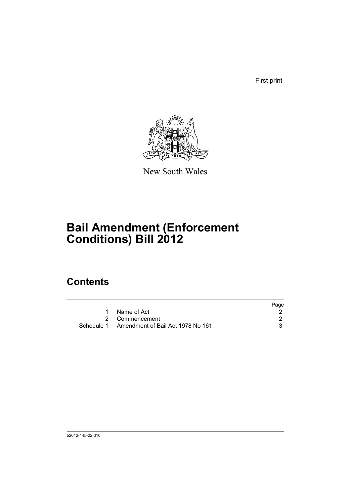First print



New South Wales

## **Bail Amendment (Enforcement Conditions) Bill 2012**

### **Contents**

|                                              | Page |
|----------------------------------------------|------|
| Name of Act                                  |      |
| 2 Commencement                               |      |
| Schedule 1 Amendment of Bail Act 1978 No 161 |      |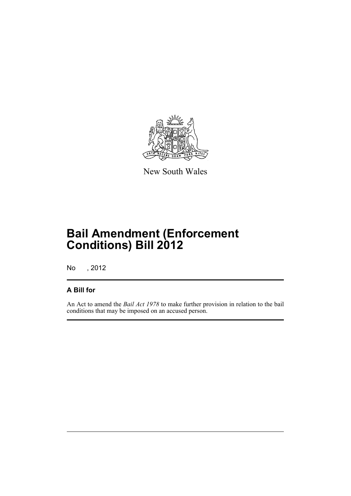

New South Wales

## **Bail Amendment (Enforcement Conditions) Bill 2012**

No , 2012

#### **A Bill for**

An Act to amend the *Bail Act 1978* to make further provision in relation to the bail conditions that may be imposed on an accused person.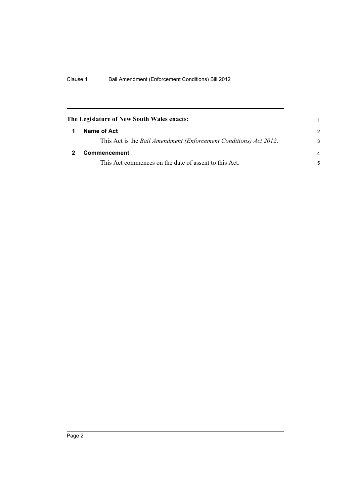<span id="page-5-1"></span><span id="page-5-0"></span>

| The Legislature of New South Wales enacts:                        |                |
|-------------------------------------------------------------------|----------------|
| Name of Act                                                       | $\mathcal{P}$  |
| This Act is the Bail Amendment (Enforcement Conditions) Act 2012. | 3              |
| <b>Commencement</b>                                               | $\overline{a}$ |
| This Act commences on the date of assent to this Act.             | 5              |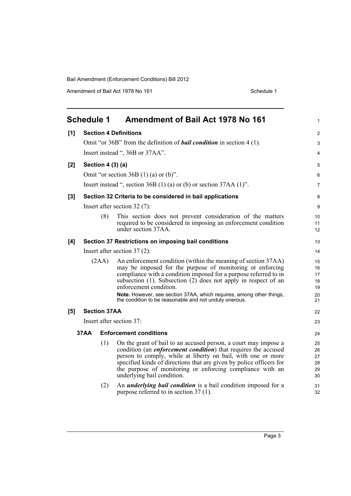Amendment of Bail Act 1978 No 161 Schedule 1

<span id="page-6-0"></span>

|       | <b>Schedule 1</b> |                       | <b>Amendment of Bail Act 1978 No 161</b>                                                                                                                                                                                                                                                                                                                                                                                                                                                         | 1                                      |
|-------|-------------------|-----------------------|--------------------------------------------------------------------------------------------------------------------------------------------------------------------------------------------------------------------------------------------------------------------------------------------------------------------------------------------------------------------------------------------------------------------------------------------------------------------------------------------------|----------------------------------------|
| [1]   |                   |                       | <b>Section 4 Definitions</b>                                                                                                                                                                                                                                                                                                                                                                                                                                                                     | $\overline{c}$                         |
|       |                   |                       | Omit "or 36B" from the definition of <b>bail condition</b> in section 4 (1).                                                                                                                                                                                                                                                                                                                                                                                                                     | 3                                      |
|       |                   |                       | Insert instead ", 36B or 37AA".                                                                                                                                                                                                                                                                                                                                                                                                                                                                  | 4                                      |
| [2]   |                   | Section 4 $(3)$ $(a)$ |                                                                                                                                                                                                                                                                                                                                                                                                                                                                                                  | 5                                      |
|       |                   |                       | Omit "or section $36B(1)(a)$ or $(b)$ ".                                                                                                                                                                                                                                                                                                                                                                                                                                                         | 6                                      |
|       |                   |                       | Insert instead ", section $36B(1)$ (a) or (b) or section $37AA(1)$ ".                                                                                                                                                                                                                                                                                                                                                                                                                            | 7                                      |
| $[3]$ |                   |                       | Section 32 Criteria to be considered in bail applications                                                                                                                                                                                                                                                                                                                                                                                                                                        | 8                                      |
|       |                   |                       | Insert after section $32(7)$ :                                                                                                                                                                                                                                                                                                                                                                                                                                                                   | 9                                      |
|       |                   | (8)                   | This section does not prevent consideration of the matters<br>required to be considered in imposing an enforcement condition<br>under section 37AA.                                                                                                                                                                                                                                                                                                                                              | 10<br>11<br>12                         |
| [4]   |                   |                       | Section 37 Restrictions on imposing bail conditions                                                                                                                                                                                                                                                                                                                                                                                                                                              | 13                                     |
|       |                   |                       | Insert after section $37(2)$ :                                                                                                                                                                                                                                                                                                                                                                                                                                                                   | 14                                     |
|       |                   | (2AA)                 | An enforcement condition (within the meaning of section 37AA)<br>may be imposed for the purpose of monitoring or enforcing<br>compliance with a condition imposed for a purpose referred to in<br>subsection (1). Subsection (2) does not apply in respect of an<br>enforcement condition.<br>Note. However, see section 37AA, which requires, among other things,                                                                                                                               | 15<br>16<br>17<br>18<br>19<br>20       |
|       |                   | <b>Section 37AA</b>   | the condition to be reasonable and not unduly onerous.                                                                                                                                                                                                                                                                                                                                                                                                                                           | 21                                     |
| [5]   |                   |                       | Insert after section 37:                                                                                                                                                                                                                                                                                                                                                                                                                                                                         | 22<br>23                               |
|       | 37AA              |                       | <b>Enforcement conditions</b>                                                                                                                                                                                                                                                                                                                                                                                                                                                                    | 24                                     |
|       |                   | (1)<br>(2)            | On the grant of bail to an accused person, a court may impose a<br>condition (an <i>enforcement condition</i> ) that requires the accused<br>person to comply, while at liberty on bail, with one or more<br>specified kinds of directions that are given by police officers for<br>the purpose of monitoring or enforcing compliance with an<br>underlying bail condition.<br>An <i>underlying bail condition</i> is a bail condition imposed for a<br>purpose referred to in section $37(1)$ . | 25<br>26<br>27<br>28<br>29<br>30<br>31 |
|       |                   |                       |                                                                                                                                                                                                                                                                                                                                                                                                                                                                                                  | 32                                     |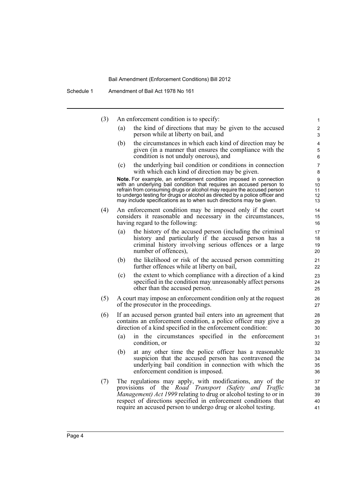| (3) |     | An enforcement condition is to specify:                                                                                                                                                                                                                                                                                                                                   | $\mathbf{1}$              |
|-----|-----|---------------------------------------------------------------------------------------------------------------------------------------------------------------------------------------------------------------------------------------------------------------------------------------------------------------------------------------------------------------------------|---------------------------|
|     | (a) | the kind of directions that may be given to the accused<br>person while at liberty on bail, and                                                                                                                                                                                                                                                                           | $\overline{2}$<br>3       |
|     | (b) | the circumstances in which each kind of direction may be<br>given (in a manner that ensures the compliance with the<br>condition is not unduly onerous), and                                                                                                                                                                                                              | 4<br>5<br>6               |
|     | (c) | the underlying bail condition or conditions in connection<br>with which each kind of direction may be given.                                                                                                                                                                                                                                                              | 7<br>8                    |
|     |     | Note. For example, an enforcement condition imposed in connection<br>with an underlying bail condition that requires an accused person to<br>refrain from consuming drugs or alcohol may require the accused person<br>to undergo testing for drugs or alcohol as directed by a police officer and<br>may include specifications as to when such directions may be given. | 9<br>10<br>11<br>12<br>13 |
| (4) |     | An enforcement condition may be imposed only if the court<br>considers it reasonable and necessary in the circumstances,<br>having regard to the following:                                                                                                                                                                                                               | 14<br>15<br>16            |
|     | (a) | the history of the accused person (including the criminal<br>history and particularly if the accused person has a<br>criminal history involving serious offences or a large<br>number of offences),                                                                                                                                                                       | 17<br>18<br>19<br>20      |
|     | (b) | the likelihood or risk of the accused person committing<br>further offences while at liberty on bail,                                                                                                                                                                                                                                                                     | 21<br>22                  |
|     | (c) | the extent to which compliance with a direction of a kind<br>specified in the condition may unreasonably affect persons<br>other than the accused person.                                                                                                                                                                                                                 | 23<br>24<br>25            |
| (5) |     | A court may impose an enforcement condition only at the request<br>of the prosecutor in the proceedings.                                                                                                                                                                                                                                                                  | 26<br>27                  |
| (6) |     | If an accused person granted bail enters into an agreement that<br>contains an enforcement condition, a police officer may give a<br>direction of a kind specified in the enforcement condition:                                                                                                                                                                          | 28<br>29<br>30            |
|     | (a) | in the circumstances specified in the enforcement<br>condition, or                                                                                                                                                                                                                                                                                                        | 31<br>32                  |
|     | (b) | at any other time the police officer has a reasonable<br>suspicion that the accused person has contravened the<br>underlying bail condition in connection with which the<br>enforcement condition is imposed.                                                                                                                                                             | 33<br>34<br>35<br>36      |
| (7) |     | The regulations may apply, with modifications, any of the<br>provisions of the Road Transport (Safety and Traffic<br>Management) Act 1999 relating to drug or alcohol testing to or in<br>respect of directions specified in enforcement conditions that                                                                                                                  | 37<br>38<br>39<br>40      |

41

require an accused person to undergo drug or alcohol testing.